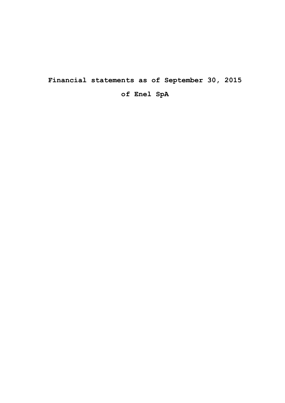**Financial statements as of September 30, 2015**

**of Enel SpA**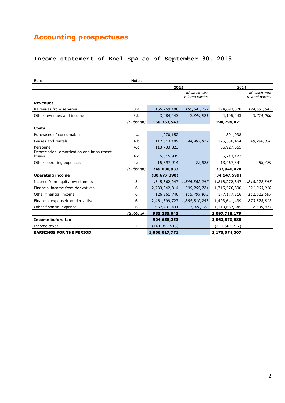# **Accounting prospectuses**

# **Income statement of Enel SpA as of September 30, 2015**

| Euro                                                | Notes          |               |                                  |                 |                                  |
|-----------------------------------------------------|----------------|---------------|----------------------------------|-----------------|----------------------------------|
|                                                     |                | 2015          |                                  | 2014            |                                  |
|                                                     |                |               | of which with<br>related parties |                 | of which with<br>related parties |
| <b>Revenues</b>                                     |                |               |                                  |                 |                                  |
| Revenues from services                              | 3.a            | 165,269,100   | 165,543,737                      | 194,693,378     | 194,687,645                      |
| Other revenues and income                           | 3.b            | 3,084,443     | 2,349,521                        | 4,105,443       | 3,714,000                        |
|                                                     | (Subtotal)     | 168,353,543   |                                  | 198,798,821     |                                  |
| Costs                                               |                |               |                                  |                 |                                  |
| Purchases of consumables                            | 4.a            | 1,070,152     |                                  | 801,938         |                                  |
| Leases and rentals                                  | 4.b            | 112,513,109   | 44,982,817                       | 125,536,464     | 49,290,336                       |
| Personnel                                           | 4.c            | 113,733,823   |                                  | 86,927,555      |                                  |
| Depreciation, amortization and impairment<br>losses | 4.d            | 6,315,935     |                                  | 6,213,122       |                                  |
| Other operating expenses                            | 4.e            | 15,397,914    | 72,825                           | 13,467,341      | 88,479                           |
|                                                     | (Subtotal)     | 249,030,933   |                                  | 232,946,420     |                                  |
| <b>Operating income</b>                             |                | (80,677,390)  |                                  | (34,147,599)    |                                  |
| Income from equity investments                      | 5              |               | 1,545,362,247 1,545,362,247      |                 | 1,818,272,847 1,818,272,847      |
| Financial income from derivatives                   | 6              | 2,733,042,814 | 399,269,721                      | 1,715,576,800   | 321,363,910                      |
| Other financial income                              | 6              | 126,261,740   | 115,709,975                      | 177, 177, 316   | 152,622,507                      |
| Financial expensefrom derivative                    | 6              | 2,461,899,727 | 1,888,810,253                    | 1,493,641,439   | 873,828,812                      |
| Other financial expense                             | 6              | 957,431,431   | 1,370,120                        | 1,119,667,345   | 2,639,873                        |
|                                                     | (Subtotal)     | 985,335,643   |                                  | 1,097,718,179   |                                  |
| Income before tax                                   |                | 904,658,253   |                                  | 1,063,570,580   |                                  |
| Income taxes                                        | $\overline{7}$ | (161,359,518) |                                  | (111, 503, 727) |                                  |
| <b>EARNINGS FOR THE PERIOD</b>                      |                | 1,066,017,771 |                                  | 1,175,074,307   |                                  |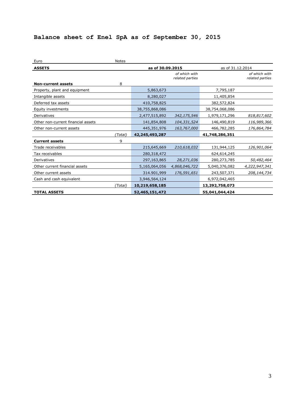# **Balance sheet of Enel SpA as of September 30, 2015**

| Euro                               | <b>Notes</b>     |                   |                                  |                |                                  |
|------------------------------------|------------------|-------------------|----------------------------------|----------------|----------------------------------|
| <b>ASSETS</b>                      | as of 30.09.2015 |                   | as of 31.12.2014                 |                |                                  |
|                                    |                  |                   | of which with<br>related parties |                | of which with<br>related parties |
| <b>Non-current assets</b>          | 8                |                   |                                  |                |                                  |
| Property, plant and equipment      |                  | 5,863,673         |                                  | 7,795,187      |                                  |
| Intangible assets                  |                  | 8,280,027         |                                  | 11,405,854     |                                  |
| Deferred tax assets                |                  | 410,758,825       |                                  | 382,572,824    |                                  |
| Equity investments                 |                  | 38,755,868,086    |                                  | 38,754,068,086 |                                  |
| Derivatives                        |                  | 2,477,515,892     | 342,175,546                      | 1,979,171,296  | 818,817,602                      |
| Other non-current financial assets |                  | 141,854,808       | 104,331,524                      | 146,490,819    | 116,989,366                      |
| Other non-current assets           |                  | 445,351,976       | 163,767,000                      | 466,782,285    | 176,864,784                      |
|                                    | (Total)          | 42, 245, 493, 287 |                                  | 41,748,286,351 |                                  |
| <b>Current assets</b>              | 9                |                   |                                  |                |                                  |
| Trade receivables                  |                  | 215,645,669       | 210,618,032                      | 131,944,125    | 126,901,064                      |
| Tax receivables                    |                  | 280,318,472       |                                  | 624,614,245    |                                  |
| Derivatives                        |                  | 297,163,865       | 28,271,036                       | 280,273,785    | 50,482,464                       |
| Other current financial assets     |                  | 5,165,064,056     | 4,868,046,722                    | 5,040,376,082  | 4,222,947,341                    |
| Other current assets               |                  | 314.901,999       | 176,591,651                      | 243,507,371    | 208,144,734                      |
| Cash and cash equivalent           |                  | 3,946,564,124     |                                  | 6,972,042,465  |                                  |
|                                    | (Total)          | 10,219,658,185    |                                  | 13,292,758,073 |                                  |
| <b>TOTAL ASSETS</b>                |                  | 52,465,151,472    |                                  | 55,041,044,424 |                                  |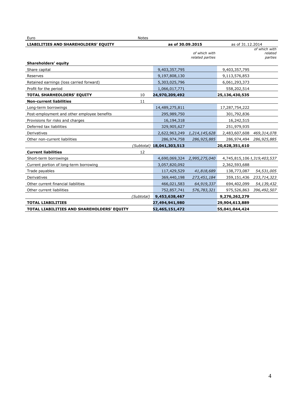| Notes<br>Euro                               |                  |                                  |                             |                                     |  |  |
|---------------------------------------------|------------------|----------------------------------|-----------------------------|-------------------------------------|--|--|
| <b>LIABILITIES AND SHAREHOLDERS' EQUITY</b> | as of 30.09.2015 |                                  |                             | as of 31.12.2014                    |  |  |
|                                             |                  | of which with<br>related parties |                             | of which with<br>related<br>parties |  |  |
| Shareholders' equity                        |                  |                                  |                             |                                     |  |  |
| Share capital                               | 9,403,357,795    |                                  | 9,403,357,795               |                                     |  |  |
| Reserves                                    | 9,197,808,130    |                                  | 9,113,576,853               |                                     |  |  |
| Retained earnings (loss carried forward)    | 5,303,025,796    |                                  | 6,061,293,373               |                                     |  |  |
| Profit for the period                       | 1,066,017,771    |                                  | 558,202,514                 |                                     |  |  |
| 10<br><b>TOTAL SHARHEOLDERS' EQUITY</b>     | 24,970,209,492   |                                  | 25,136,430,535              |                                     |  |  |
| <b>Non-current liabilities</b><br>11        |                  |                                  |                             |                                     |  |  |
| Long-term borrowings                        | 14,489,275,811   |                                  | 17,287,754,222              |                                     |  |  |
| Post-employment and other employee benefits | 295,989,750      |                                  | 301,792,836                 |                                     |  |  |
| Provisions for risks and charges            | 16,194,318       |                                  | 16,242,515                  |                                     |  |  |
| Deferred tax liabilities                    | 329,905,627      |                                  | 251,979,935                 |                                     |  |  |
| Derivatives                                 | 2,622,963,249    | 1,214,145,628                    | 2,483,607,608 469,314,078   |                                     |  |  |
| Other non-current liabilities               | 286,974,758      | 286,925,885                      | 286,974,494                 | 286,925,885                         |  |  |
| (Subtotal)                                  | 18,041,303,513   |                                  | 20,628,351,610              |                                     |  |  |
| <b>Current liabilities</b><br>12            |                  |                                  |                             |                                     |  |  |
| Short-term borrowings                       |                  | 4,690,069,324 2,995,275,040      | 4,745,815,106 1,319,403,537 |                                     |  |  |
| Current portion of long-term borrowing      | 3,057,820,092    |                                  | 2,362,593,688               |                                     |  |  |
| Trade payables                              | 117,429,529      | 41,818,689                       | 138,773,087                 | 54,531,005                          |  |  |
| Derivatives                                 | 369,440,198      | 273,451,184                      | 359,151,436                 | 233,714,323                         |  |  |
| Other current financial liabilities         | 466,021,583      | 64,919,337                       | 694,402,099                 | 54,139,432                          |  |  |
| Other current liabilities                   | 752,857,741      | 576,783,321                      | 975,526,863                 | 396,492,507                         |  |  |
| (Subtotal)                                  | 9,453,638,467    |                                  | 9,276,262,279               |                                     |  |  |
| <b>TOTAL LIABILITIES</b>                    | 27,494,941,980   |                                  | 29,904,613,889              |                                     |  |  |
| TOTAL LIABILITIES AND SHAREHOLDERS' EQUITY  | 52,465,151,472   |                                  | 55,041,044,424              |                                     |  |  |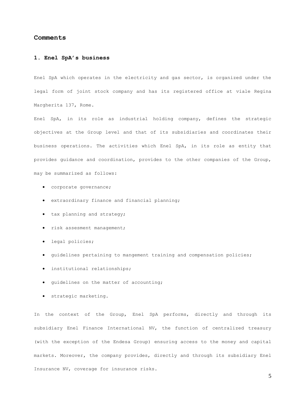#### **Comments**

#### **1. Enel SpA's business**

Enel SpA which operates in the electricity and gas sector, is organized under the legal form of joint stock company and has its registered office at viale Regina Margherita 137, Rome.

Enel SpA, in its role as industrial holding company, defines the strategic objectives at the Group level and that of its subsidiaries and coordinates their business operations. The activities which Enel SpA, in its role as entity that provides guidance and coordination, provides to the other companies of the Group, may be summarized as follows:

- corporate governance;
- extraordinary finance and financial planning;
- tax planning and strategy;
- risk assesment management;
- legal policies;
- guidelines pertaining to mangement training and compensation policies;
- institutional relationships;
- guidelines on the matter of accounting;
- strategic marketing.

In the context of the Group, Enel SpA performs, directly and through its subsidiary Enel Finance International NV, the function of centralized treasury (with the exception of the Endesa Group) ensuring access to the money and capital markets. Moreover, the company provides, directly and through its subsidiary Enel Insurance NV, coverage for insurance risks.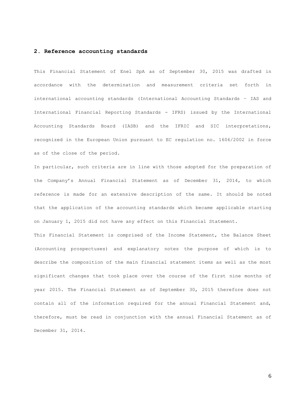#### **2. Reference accounting standards**

This Financial Statement of Enel SpA as of September 30, 2015 was drafted in accordance with the determination and measurement criteria set forth in international accounting standards (International Accounting Standards – IAS and International Financial Reporting Standards - IFRS) issued by the International Accounting Standards Board (IASB) and the IFRIC and SIC interpretations, recognized in the European Union pursuant to EC regulation no. 1606/2002 in force as of the close of the period.

In particular, such criteria are in line with those adopted for the preparation of the Company's Annual Financial Statement as of December 31, 2014, to which reference is made for an extensive description of the same. It should be noted that the application of the accounting standards which became applicable starting on January 1, 2015 did not have any effect on this Financial Statement.

This Financial Statement is comprised of the Income Statement, the Balance Sheet (Accounting prospectuses) and explanatory notes the purpose of which is to describe the composition of the main financial statement items as well as the most significant changes that took place over the course of the first nine months of year 2015. The Financial Statement as of September 30, 2015 therefore does not contain all of the information required for the annual Financial Statement and, therefore, must be read in conjunction with the annual Financial Statement as of December 31, 2014.

6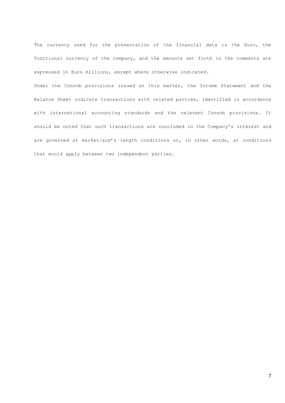The currency used for the presentation of the financial data is the Euro, the functional currency of the company, and the amounts set forth in the comments are expressed in Euro millions, except where otherwise indicated.

Under the Consob provisions issued on this matter, the Income Statement and the Balance Sheet indicate transactions with related parties, identified in accordance with international accounting standards and the relevant Consob provisions. It should be noted that such transactions are concluded in the Company's interest and are governed at market/arm's length conditions or, in other words, at conditions that would apply between two independent parties.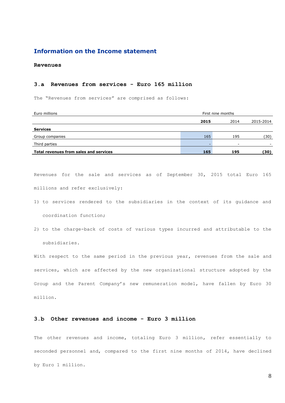# **Information on the Income statement**

**Revenues**

#### **3.a Revenues from services - Euro 165 million**

The "Revenues from services" are comprised as follows:

| Euro millions                          | First nine months |      |           |  |  |
|----------------------------------------|-------------------|------|-----------|--|--|
|                                        | 2015              | 2014 | 2015-2014 |  |  |
| <b>Services</b>                        |                   |      |           |  |  |
| Group companies                        | 165               | 195  | (30)      |  |  |
| Third parties                          |                   |      |           |  |  |
| Total revenues from sales and services | 165               | 195  | (30)      |  |  |

Revenues for the sale and services as of September 30, 2015 total Euro 165 millions and refer exclusively:

- 1) to services rendered to the subsidiaries in the context of its guidance and coordination function;
- 2) to the charge-back of costs of various types incurred and attributable to the subsidiaries.

With respect to the same period in the previous year, revenues from the sale and services, which are affected by the new organizational structure adopted by the Group and the Parent Company's new remuneration model, have fallen by Euro 30 million.

## **3.b Other revenues and income - Euro 3 million**

The other revenues and income, totaling Euro 3 million, refer essentially to seconded personnel and, compared to the first nine months of 2014, have declined by Euro 1 million.

8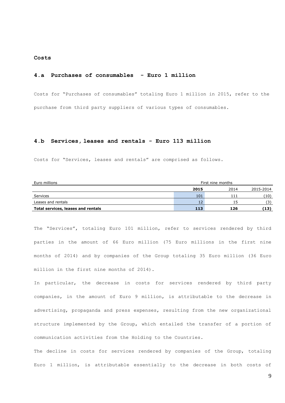#### **Costs**

#### **4.a Purchases of consumables - Euro 1 million**

Costs for "Purchases of consumables" totaling Euro 1 million in 2015, refer to the purchase from third party suppliers of various types of consumables.

#### **4.b Services, leases and rentals - Euro 113 million**

Costs for "Services, leases and rentals" are comprised as follows.

| Euro millions                      | First nine months |      |           |  |
|------------------------------------|-------------------|------|-----------|--|
|                                    | 2015              | 2014 | 2015-2014 |  |
| Services                           | 101               | 11'  | (10)      |  |
| Leases and rentals                 | 12                |      | (3)       |  |
| Total services, leases and rentals | 113               | 126  | (13)      |  |

The "Services", totaling Euro 101 million, refer to services rendered by third parties in the amount of 66 Euro million (75 Euro millions in the first nine months of 2014) and by companies of the Group totaling 35 Euro million (36 Euro million in the first nine months of 2014).

In particular, the decrease in costs for services rendered by third party companies, in the amount of Euro 9 million, is attributable to the decrease in advertising, propaganda and press expenses, resulting from the new organizational structure implemented by the Group, which entailed the transfer of a portion of communication activities from the Holding to the Countries.

The decline in costs for services rendered by companies of the Group, totaling Euro 1 million, is attributable essentially to the decrease in both costs of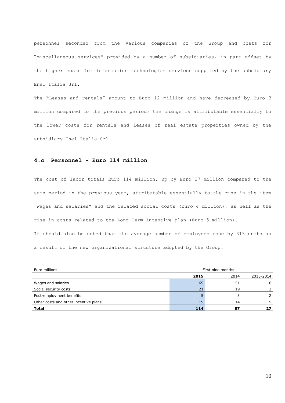personnel seconded from the various companies of the Group and costs for "miscellaneous services" provided by a number of subsidiaries, in part offset by the higher costs for information technologies services supplied by the subsidiary Enel Italia Srl.

The "Leases and rentals" amount to Euro 12 million and have decreased by Euro 3 million compared to the previous period; the change is attributable essentially to the lower costs for rentals and leases of real estate properties owned by the subsidiary Enel Italia Srl.

## **4.c Personnel - Euro 114 million**

The cost of labor totals Euro 114 million, up by Euro 27 million compared to the same period in the previous year, attributable essentially to the rise in the item "Wages and salaries" and the related social costs (Euro 4 million), as well as the rise in costs related to the Long Term Incentive plan (Euro 5 million).

It should also be noted that the average number of employees rose by 313 units as a result of the new organizational structure adopted by the Group.

| Euro millions                         | First nine months |      |           |  |
|---------------------------------------|-------------------|------|-----------|--|
|                                       | 2015              | 2014 | 2015-2014 |  |
| Wages and salaries                    | 69                | 51   | 18        |  |
| Social security costs                 | 21                | 19   |           |  |
| Post-employment benefits              |                   |      |           |  |
| Other costs and other incentive plans | 19                | 14   |           |  |
| <b>Total</b>                          | 114               | 87   |           |  |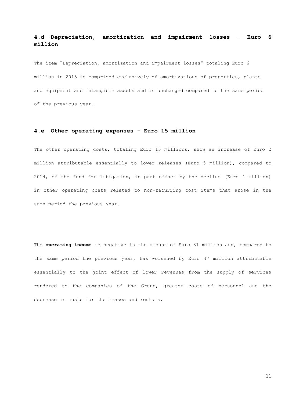# **4.d Depreciation, amortization and impairment losses - Euro 6 million**

The item "Depreciation, amortization and impairment losses" totaling Euro 6 million in 2015 is comprised exclusively of amortizations of properties, plants and equipment and intangible assets and is unchanged compared to the same period of the previous year.

#### **4.e Other operating expenses - Euro 15 million**

The other operating costs, totaling Euro 15 millions, show an increase of Euro 2 million attributable essentially to lower releases (Euro 5 million), compared to 2014, of the fund for litigation, in part offset by the decline (Euro 4 million) in other operating costs related to non-recurring cost items that arose in the same period the previous year.

The **operating income** is negative in the amount of Euro 81 million and, compared to the same period the previous year, has worsened by Euro 47 million attributable essentially to the joint effect of lower revenues from the supply of services rendered to the companies of the Group, greater costs of personnel and the decrease in costs for the leases and rentals.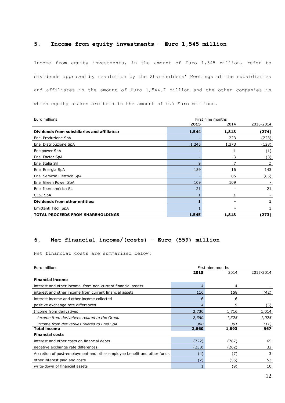## **5. Income from equity investments - Euro 1,545 million**

Income from equity investments, in the amount of Euro 1,545 million, refer to dividends approved by resolution by the Shareholders' Meetings of the subsidiaries and affiliates in the amount of Euro 1,544.7 million and the other companies in which equity stakes are held in the amount of 0.7 Euro millions.

| Euro millions                               | First nine months |       |           |  |  |  |  |
|---------------------------------------------|-------------------|-------|-----------|--|--|--|--|
|                                             | 2015              | 2014  | 2015-2014 |  |  |  |  |
| Dividends from subsidiaries and affiliates: | 1,544             | 1,818 | (274)     |  |  |  |  |
| Enel Produzione SpA                         |                   | 223   | (223)     |  |  |  |  |
| Enel Distribuzione SpA                      | 1,245             | 1,373 | (128)     |  |  |  |  |
| Enelpower SpA                               |                   |       | (1)       |  |  |  |  |
| Enel Factor SpA                             |                   | 3     | (3)       |  |  |  |  |
| Enel Italia Srl                             | 9                 |       | 2         |  |  |  |  |
| Enel Energia SpA                            | 159               | 16    | 143       |  |  |  |  |
| Enel Servizio Elettrico SpA                 |                   | 85    | (85)      |  |  |  |  |
| Enel Green Power SpA                        | 109               | 109   |           |  |  |  |  |
| Enel Iberoamérica SL                        | 21                |       | 21        |  |  |  |  |
| <b>CESI SpA</b>                             |                   |       |           |  |  |  |  |
| <b>Dividends from other entities:</b>       |                   |       |           |  |  |  |  |
| Emittenti Titoli SpA                        |                   |       |           |  |  |  |  |
| <b>TOTAL PROCEEDS FROM SHAREHOLDINGS</b>    | 1,545             | 1,818 | (273)     |  |  |  |  |

# **6. Net financial income/(costs) - Euro (559) million**

Net financial costs are summarized below:

| Euro millions<br>First nine months                                      |       |       |           |  |
|-------------------------------------------------------------------------|-------|-------|-----------|--|
|                                                                         | 2015  | 2014  | 2015-2014 |  |
| <b>Financial income</b>                                                 |       |       |           |  |
| interest and other income from non-current financial assets             | 4     | 4     |           |  |
| interest and other income from current financial assets                 | 116   | 158   | (42)      |  |
| interest income and other income collected                              | 6     | 6     |           |  |
| positive exchange rate differences                                      | 4     | 9     | (5)       |  |
| Income from derivatives                                                 | 2,730 | 1,716 | 1,014     |  |
| income from derivatives related to the Group                            | 2,350 | 1,325 | 1,025     |  |
| income from derivatives related to Enel SpA                             | 380   | 391   | (11)      |  |
| <b>Total income</b>                                                     | 2,860 | 1,893 | 967       |  |
| <b>Financial costs</b>                                                  |       |       |           |  |
| interest and other costs on financial debts                             | (722) | (787) | 65        |  |
| negative exchange rate differences                                      | (230) | (262) | 32        |  |
| Accretion of post-employment and other employee benefit and other funds | (4)   | (7`   | 3         |  |
| other interest paid and costs                                           | (2)   | (55)  | 53        |  |
| write-down of financial assets                                          |       | (9)   | 10        |  |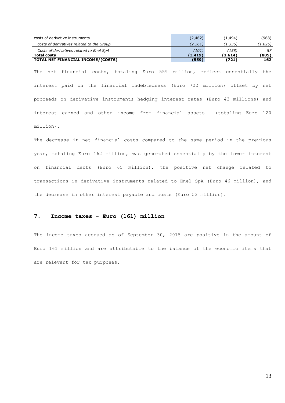| costs of derivative instruments           | (2,462)  | 1,494)  | (968)  |
|-------------------------------------------|----------|---------|--------|
| costs of derivatives related to the Group | (2,361)  | (1,336) | 1,025) |
| Costs of derivatives related to Enel SpA  | 101)     | (158)   | 57     |
| <b>Total costs</b>                        | (3, 419) | (2,614) | (805)  |
| TOTAL NET FINANCIAL INCOME/(COSTS)        | (559)    | 【721】   | 162    |

The net financial costs, totaling Euro 559 million, reflect essentially the interest paid on the financial indebtedness (Euro 722 million) offset by net proceeds on derivative instruments hedging interest rates (Euro 43 millions) and interest earned and other income from financial assets (totaling Euro 120 million).

The decrease in net financial costs compared to the same period in the previous year, totaling Euro 162 million, was generated essentially by the lower interest on financial debts (Euro 65 million), the positive net change related to transactions in derivative instruments related to Enel SpA (Euro 46 million), and the decrease in other interest payable and costs (Euro 53 million).

# **7. Income taxes - Euro (161) million**

The income taxes accrued as of September 30, 2015 are positive in the amount of Euro 161 million and are attributable to the balance of the economic items that are relevant for tax purposes.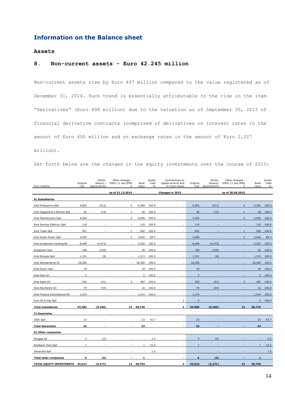# **Information on the Balance sheet**

### **Assets**

## **8. Non-current assets - Euro 42.245 million**

Non-current assets rise by Euro 497 million compared to the value registered as of December 31, 2014. Such trend is essentially attributable to the rise in the item "Derivatives" (Euro 498 million) due to the valuation as of September 30, 2015 of financial derivative contracts (comprised of derivatives on interest rates in the amount of Euro 450 million and on exchange rates in the amount of Euro 2,027

million).

Set forth below are the changes in the equity investments over the course of 2015:

| Euro millions                 | Original<br>cost | (Write-<br>downs) /<br>appreciations | Other changes -<br>IFRIC 11 and IFRS<br>$\mathcal{D}$ | Book<br>value | Quota<br>held<br>$\%$ | Contributions to<br>capital account and<br>to cover losses | Original<br>cost | (Write-<br>downs)/<br>Appreciations | Other changes -<br>IFRIC 11 and IFRS<br>$\overline{\phantom{a}}$ | Book<br>value  | Quota<br>held<br>$\%$ |
|-------------------------------|------------------|--------------------------------------|-------------------------------------------------------|---------------|-----------------------|------------------------------------------------------------|------------------|-------------------------------------|------------------------------------------------------------------|----------------|-----------------------|
|                               |                  |                                      | as of 31.12.2014                                      |               |                       | Changes in 2015                                            |                  |                                     | as of 30.09.2015                                                 |                |                       |
| A) Subsidiaries               |                  |                                      |                                                       |               |                       |                                                            |                  |                                     |                                                                  |                |                       |
| Enel Produzione SpA           | 4,892            | (512)                                | $\overline{4}$                                        | 4,384         | 100.0                 |                                                            | 4,892            | (512)                               | $\overline{4}$                                                   | 4,384          | 100.0                 |
| Enel Ingegneria e Ricerca SpA | 46               | (19)                                 | $\mathbf{1}$                                          | 28            | 100.0                 | $\sim$                                                     | 46               | (19)                                | $\mathbf{1}$                                                     | 28             | 100.0                 |
| Enel Distribuzione SpA        | 4,054            | $\overline{\phantom{a}}$             | $\overline{2}$                                        | 4,056         | 100.0                 | $\sim$                                                     | 4,054            |                                     | $\overline{2}$                                                   | 4,056          | 100.0                 |
| Enel Servizio Elettrico SpA   | 110              | $\overline{\phantom{a}}$             | $\sim$                                                | 110           | 100.0                 | $\sim$                                                     | 110              |                                     | $\sim$                                                           | 110            | 100.0                 |
| Enel Trade SpA                | 901              | ä,                                   | 1                                                     | 902           | 100.0                 |                                                            | 901              |                                     | $\mathbf{1}$                                                     | 902            | 100.0                 |
| Enel Green Power SpA          | 3,640            |                                      | 2                                                     | 3,642         | 68.3                  |                                                            | 3,640            |                                     | $\overline{2}$                                                   | 3,642          | 68.3                  |
| Enel Investment Holding BV    | 8,498            | (4, 473)                             | $\sim$                                                | 4,025         | 100.0                 | $\sim$                                                     | 8,498            | (4, 473)                            | ä,                                                               | 4,025          | 100.0                 |
| Enelpower SpA                 | 189              | (159)                                |                                                       | 30            | 100.0                 |                                                            | 189              | (159)                               |                                                                  | 30             | 100.0                 |
| Enel Energia SpA              | 1,321            | (8)                                  |                                                       | 1,313         | 100.0                 |                                                            | 1,321            | (8)                                 |                                                                  | 1,313          | 100.0                 |
| Enel Iberoamérica SL          | 18,300           | ä,                                   | $\sim$                                                | 18,300        | 100.0                 | ÷                                                          | 18,300           |                                     |                                                                  | 18,300         | 100.0                 |
| Enel.Factor SpA               | 18               | ÷.                                   | $\sim$                                                | 18            | 100.0                 | $\sim$                                                     | 18               |                                     |                                                                  | 18             | 100.0                 |
| Enel Sole Srl                 | 5                |                                      |                                                       | 5             | 100.0                 |                                                            | 5                |                                     |                                                                  | 5              | 100.0                 |
| Enel Italia Srl               | 525              | (41)                                 | 3                                                     | 487           | 100.0                 | $\sim$                                                     | 525              | (41)                                | 3                                                                | 487            | 100.0                 |
| Enel.NewHydro Srl             | 70               | (54)                                 |                                                       | 16            | 100.0                 |                                                            | 70               | (54)                                |                                                                  | 16             | 100.0                 |
| Enel Finance International NV | 1,414            | $\overline{\phantom{a}}$             |                                                       | 1,414         | 100.0                 | $\sim$                                                     | 1,414            |                                     |                                                                  | 1,414          | 100.0                 |
| Enel Oil & Gas SpA            |                  |                                      |                                                       |               |                       | $\overline{2}$                                             | $\overline{2}$   |                                     |                                                                  | $\overline{2}$ | 100.0                 |
| <b>Total subsidiaries</b>     | 43,983           | (5,266)                              |                                                       | 13 38,730     |                       | 2                                                          | 43,985           | (5,266)                             | 13                                                               | 38,732         |                       |
| C) Associates                 |                  |                                      |                                                       |               |                       |                                                            |                  |                                     |                                                                  |                |                       |
| CESI SpA                      | 23               |                                      |                                                       | 23            | 42.7                  | $\sim$                                                     | 23               |                                     |                                                                  | 23             | 42.7                  |
| <b>Total Associates</b>       | 23               |                                      |                                                       | 23            |                       |                                                            | 23               |                                     |                                                                  | 23             |                       |
| D) Other companies            |                  |                                      |                                                       |               |                       |                                                            |                  |                                     |                                                                  |                |                       |
| Elcogas SA                    | 5                | (5)                                  |                                                       |               | 4.3                   |                                                            | 5                | (5)                                 |                                                                  |                | 4.3                   |
| Emittenti Titoli SpA          | $\mathbf{1}$     | $\overline{\phantom{a}}$             |                                                       | 1             | 10.0                  | $\sim$                                                     | $\mathbf{1}$     |                                     |                                                                  | $\mathbf{1}$   | 10.0                  |
| Idrosicilia SpA               |                  |                                      |                                                       |               | 1.0                   |                                                            |                  |                                     |                                                                  |                | 1.0                   |
| <b>Total other companies</b>  | 6                | (5)                                  |                                                       | 1             |                       | $\overline{\phantom{a}}$                                   | 6                | (5)                                 |                                                                  | 1              |                       |
| TOTAL EQUITY INVESTMENTS      | 44,012           | (5, 271)                             |                                                       | 13 38,754     |                       | 2                                                          | 44,014           | (5, 271)                            | 13                                                               | 38,756         |                       |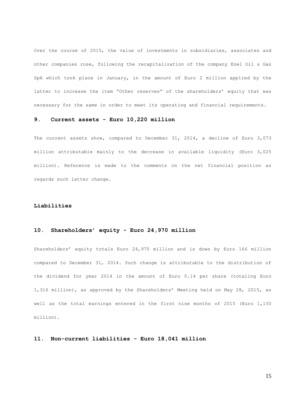Over the course of 2015, the value of investments in subsidiaries, associates and other companies rose, following the recapitalization of the company Enel Oil & Gas SpA which took place in January, in the amount of Euro 2 million applied by the latter to increase the item "Other reserves" of the shareholders' equity that was necessary for the same in order to meet its operating and financial requirements.

#### **9. Current assets - Euro 10,220 million**

The current assets show, compared to December 31, 2014, a decline of Euro 3,073 million attributable mainly to the decrease in available liquidity (Euro 3,025 million). Reference is made to the comments on the net financial position as regards such latter change.

#### **Liabilities**

# **10. Shareholders' equity - Euro 24,970 million**

Shareholders' equity totals Euro 24,970 million and is down by Euro 166 million compared to December 31, 2014. Such change is attributable to the distribution of the dividend for year 2014 in the amount of Euro 0.14 per share (totaling Euro 1,316 million), as approved by the Shareholders' Meeting held on May 28, 2015, as well as the total earnings entered in the first nine months of 2015 (Euro 1,150 million).

# **11. Non-current liabilities - Euro 18,041 million**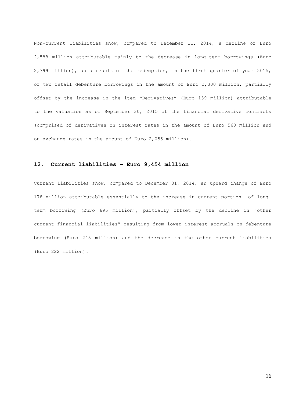Non-current liabilities show, compared to December 31, 2014, a decline of Euro 2,588 million attributable mainly to the decrease in long-term borrowings (Euro 2,799 million), as a result of the redemption, in the first quarter of year 2015, of two retail debenture borrowings in the amount of Euro 2,300 million, partially offset by the increase in the item "Derivatives" (Euro 139 million) attributable to the valuation as of September 30, 2015 of the financial derivative contracts (comprised of derivatives on interest rates in the amount of Euro 568 million and on exchange rates in the amount of Euro 2,055 million).

### **12. Current liabilities - Euro 9,454 million**

Current liabilities show, compared to December 31, 2014, an upward change of Euro 178 million attributable essentially to the increase in current portion of longterm borrowing (Euro 695 million), partially offset by the decline in "other current financial liabilities" resulting from lower interest accruals on debenture borrowing (Euro 243 million) and the decrease in the other current liabilities (Euro 222 million).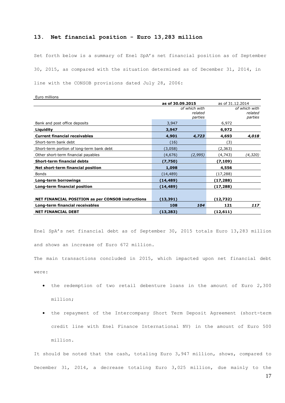### **13. Net financial position - Euro 13,283 million**

Set forth below is a summary of Enel SpA's net financial position as of September 30, 2015, as compared with the situation determined as of December 31, 2014, in line with the CONSOB provisions dated July 28, 2006:

| Euro millions                                            |                                     |          |                  |                                     |  |
|----------------------------------------------------------|-------------------------------------|----------|------------------|-------------------------------------|--|
|                                                          | as of 30.09.2015                    |          | as of 31.12.2014 |                                     |  |
|                                                          | of which with<br>related<br>parties |          |                  | of which with<br>related<br>parties |  |
| Bank and post office deposits                            | 3,947                               |          | 6,972            |                                     |  |
| Liquidity                                                | 3,947                               |          | 6,972            |                                     |  |
| <b>Current financial receivables</b>                     | 4,901                               | 4,723    | 4,693            | 4,018                               |  |
| Short-term bank debt                                     | (16)                                |          | (3)              |                                     |  |
| Short-term portion of long-term bank debt                | (3,058)                             |          | (2, 363)         |                                     |  |
| Other short-term financial payables                      | (4,676)                             | (2, 995) | (4, 743)         | (4,320)                             |  |
| <b>Short-term financial debts</b>                        | (7,750)                             |          | (7,109)          |                                     |  |
| Net short-term financial position                        | 1,098                               |          | 4,556            |                                     |  |
| Bonds                                                    | (14, 489)                           |          | (17,288)         |                                     |  |
| Long-term borrowings                                     | (14,489)                            |          | (17,288)         |                                     |  |
| Long-term financial position                             | (14,489)                            |          | (17,288)         |                                     |  |
| <b>NET FINANCIAL POSITION as per CONSOB instructions</b> | (13,391)                            |          | (12,732)         |                                     |  |
| Long-term financial receivables                          | 108                                 | 104      | 121              | 117                                 |  |
| <b>NET FINANCIAL DEBT</b>                                | (13, 283)                           |          | (12, 611)        |                                     |  |

Enel SpA's net financial debt as of September 30, 2015 totals Euro 13,283 million and shows an increase of Euro 672 million.

The main transactions concluded in 2015, which impacted upon net financial debt

were:

- the redemption of two retail debenture loans in the amount of Euro 2,300 million;
- the repayment of the Intercompany Short Term Deposit Agreement (short-term credit line with Enel Finance International NV) in the amount of Euro 500 million.

It should be noted that the cash, totaling Euro 3,947 million, shows, compared to December 31, 2014, a decrease totaling Euro 3,025 million, due mainly to the